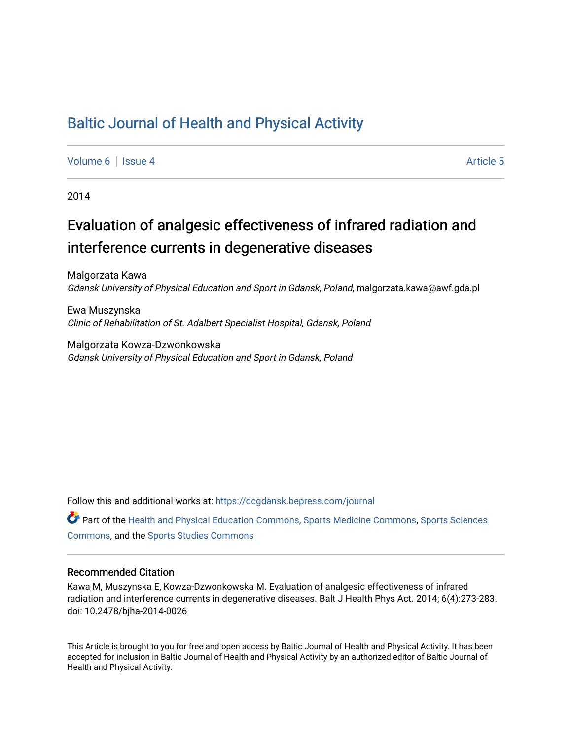## [Baltic Journal of Health and Physical Activity](https://dcgdansk.bepress.com/journal)

[Volume 6](https://dcgdansk.bepress.com/journal/vol6) | [Issue 4](https://dcgdansk.bepress.com/journal/vol6/iss4) Article 5

2014

# Evaluation of analgesic effectiveness of infrared radiation and interference currents in degenerative diseases

Malgorzata Kawa Gdansk University of Physical Education and Sport in Gdansk, Poland, malgorzata.kawa@awf.gda.pl

Ewa Muszynska Clinic of Rehabilitation of St. Adalbert Specialist Hospital, Gdansk, Poland

Malgorzata Kowza-Dzwonkowska Gdansk University of Physical Education and Sport in Gdansk, Poland

Follow this and additional works at: [https://dcgdansk.bepress.com/journal](https://dcgdansk.bepress.com/journal?utm_source=dcgdansk.bepress.com%2Fjournal%2Fvol6%2Fiss4%2F5&utm_medium=PDF&utm_campaign=PDFCoverPages)

Part of the [Health and Physical Education Commons](http://network.bepress.com/hgg/discipline/1327?utm_source=dcgdansk.bepress.com%2Fjournal%2Fvol6%2Fiss4%2F5&utm_medium=PDF&utm_campaign=PDFCoverPages), [Sports Medicine Commons,](http://network.bepress.com/hgg/discipline/1331?utm_source=dcgdansk.bepress.com%2Fjournal%2Fvol6%2Fiss4%2F5&utm_medium=PDF&utm_campaign=PDFCoverPages) [Sports Sciences](http://network.bepress.com/hgg/discipline/759?utm_source=dcgdansk.bepress.com%2Fjournal%2Fvol6%2Fiss4%2F5&utm_medium=PDF&utm_campaign=PDFCoverPages) [Commons](http://network.bepress.com/hgg/discipline/759?utm_source=dcgdansk.bepress.com%2Fjournal%2Fvol6%2Fiss4%2F5&utm_medium=PDF&utm_campaign=PDFCoverPages), and the [Sports Studies Commons](http://network.bepress.com/hgg/discipline/1198?utm_source=dcgdansk.bepress.com%2Fjournal%2Fvol6%2Fiss4%2F5&utm_medium=PDF&utm_campaign=PDFCoverPages) 

#### Recommended Citation

Kawa M, Muszynska E, Kowza-Dzwonkowska M. Evaluation of analgesic effectiveness of infrared radiation and interference currents in degenerative diseases. Balt J Health Phys Act. 2014; 6(4):273-283. doi: 10.2478/bjha-2014-0026

This Article is brought to you for free and open access by Baltic Journal of Health and Physical Activity. It has been accepted for inclusion in Baltic Journal of Health and Physical Activity by an authorized editor of Baltic Journal of Health and Physical Activity.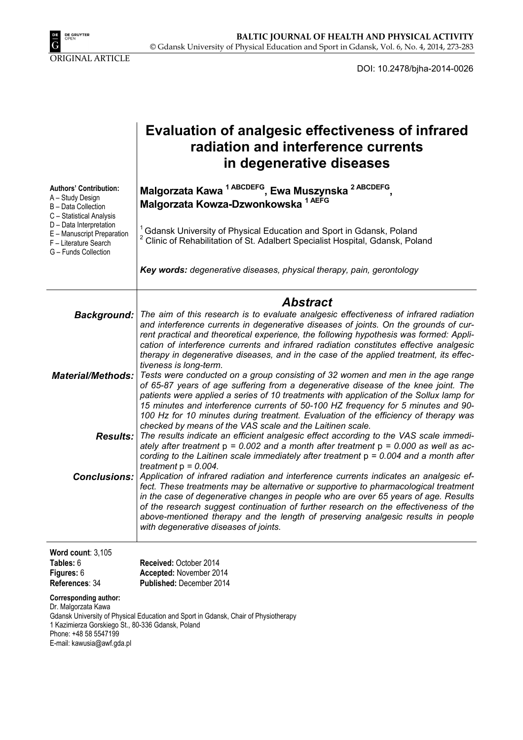

DOI: 10.2478/bjha-2014-0026

|                                                                                                                                   | <b>Evaluation of analgesic effectiveness of infrared</b><br>radiation and interference currents<br>in degenerative diseases                                                                                                                                                                                                                                                                                                                                                                               |
|-----------------------------------------------------------------------------------------------------------------------------------|-----------------------------------------------------------------------------------------------------------------------------------------------------------------------------------------------------------------------------------------------------------------------------------------------------------------------------------------------------------------------------------------------------------------------------------------------------------------------------------------------------------|
| <b>Authors' Contribution:</b><br>A - Study Design<br>B - Data Collection<br>C - Statistical Analysis                              | Malgorzata Kawa <sup>1 ABCDEFG</sup> , Ewa Muszynska <sup>2 ABCDEFG</sup> ,<br>Malgorzata Kowza-Dzwonkowska 1 AEFG                                                                                                                                                                                                                                                                                                                                                                                        |
| D - Data Interpretation<br>E - Manuscript Preparation<br>F - Literature Search<br>G - Funds Collection                            | <sup>1</sup> Gdansk University of Physical Education and Sport in Gdansk, Poland<br><sup>2</sup> Clinic of Rehabilitation of St. Adalbert Specialist Hospital, Gdansk, Poland                                                                                                                                                                                                                                                                                                                             |
|                                                                                                                                   | Key words: degenerative diseases, physical therapy, pain, gerontology                                                                                                                                                                                                                                                                                                                                                                                                                                     |
|                                                                                                                                   | <b>Abstract</b>                                                                                                                                                                                                                                                                                                                                                                                                                                                                                           |
| Background:                                                                                                                       | The aim of this research is to evaluate analgesic effectiveness of infrared radiation<br>and interference currents in degenerative diseases of joints. On the grounds of cur-<br>rent practical and theoretical experience, the following hypothesis was formed: Appli-<br>cation of interference currents and infrared radiation constitutes effective analgesic<br>therapy in degenerative diseases, and in the case of the applied treatment, its effec-<br>tiveness is long-term.                     |
| <b>Material/Methods:</b>                                                                                                          | Tests were conducted on a group consisting of 32 women and men in the age range<br>of 65-87 years of age suffering from a degenerative disease of the knee joint. The<br>patients were applied a series of 10 treatments with application of the Sollux lamp for<br>15 minutes and interference currents of 50-100 HZ frequency for 5 minutes and 90-<br>100 Hz for 10 minutes during treatment. Evaluation of the efficiency of therapy was<br>checked by means of the VAS scale and the Laitinen scale. |
| <b>Results:</b>                                                                                                                   | The results indicate an efficient analgesic effect according to the VAS scale immedi-<br>ately after treatment $p = 0.002$ and a month after treatment $p = 0.000$ as well as ac-<br>cording to the Laitinen scale immediately after treatment $p = 0.004$ and a month after<br>treatment $p = 0.004$ .                                                                                                                                                                                                   |
| <b>Conclusions:</b>                                                                                                               | Application of infrared radiation and interference currents indicates an analgesic ef-<br>fect. These treatments may be alternative or supportive to pharmacological treatment<br>in the case of degenerative changes in people who are over 65 years of age. Results<br>of the research suggest continuation of further research on the effectiveness of the<br>above-mentioned therapy and the length of preserving analgesic results in people<br>with degenerative diseases of joints.                |
| Word count: $3,105$                                                                                                               |                                                                                                                                                                                                                                                                                                                                                                                                                                                                                                           |
| Tables: 6<br>Figures: 6                                                                                                           | Received: October 2014<br>Accepted: November 2014                                                                                                                                                                                                                                                                                                                                                                                                                                                         |
| References: 34                                                                                                                    | Published: December 2014                                                                                                                                                                                                                                                                                                                                                                                                                                                                                  |
| <b>Corresponding author:</b><br>Dr. Malgorzata Kawa<br>1 Kazimierza Gorskiego St., 80-336 Gdansk, Poland<br>Phone: +48 58 5547199 | Gdansk University of Physical Education and Sport in Gdansk, Chair of Physiotherapy                                                                                                                                                                                                                                                                                                                                                                                                                       |

E-mail: kawusia@awf.gda.pl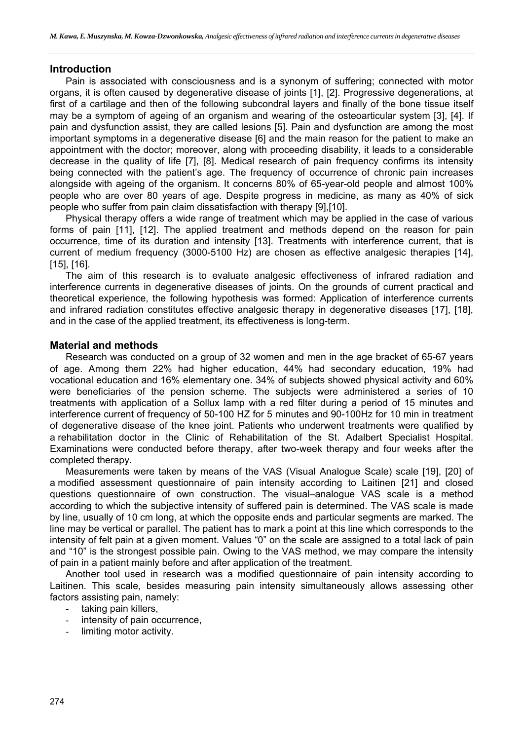## **Introduction**

Pain is associated with consciousness and is a synonym of suffering; connected with motor organs, it is often caused by degenerative disease of joints [1], [2]. Progressive degenerations, at first of a cartilage and then of the following subcondral layers and finally of the bone tissue itself may be a symptom of ageing of an organism and wearing of the osteoarticular system [3], [4]. If pain and dysfunction assist, they are called lesions [5]. Pain and dysfunction are among the most important symptoms in a degenerative disease [6] and the main reason for the patient to make an appointment with the doctor; moreover, along with proceeding disability, it leads to a considerable decrease in the quality of life [7], [8]. Medical research of pain frequency confirms its intensity being connected with the patient's age. The frequency of occurrence of chronic pain increases alongside with ageing of the organism. It concerns 80% of 65-year-old people and almost 100% people who are over 80 years of age. Despite progress in medicine, as many as 40% of sick people who suffer from pain claim dissatisfaction with therapy [9],[10].

Physical therapy offers a wide range of treatment which may be applied in the case of various forms of pain [11], [12]. The applied treatment and methods depend on the reason for pain occurrence, time of its duration and intensity [13]. Treatments with interference current, that is current of medium frequency (3000-5100 Hz) are chosen as effective analgesic therapies [14], [15], [16].

The aim of this research is to evaluate analgesic effectiveness of infrared radiation and interference currents in degenerative diseases of joints. On the grounds of current practical and theoretical experience, the following hypothesis was formed: Application of interference currents and infrared radiation constitutes effective analgesic therapy in degenerative diseases [17], [18], and in the case of the applied treatment, its effectiveness is long-term.

## **Material and methods**

Research was conducted on a group of 32 women and men in the age bracket of 65-67 years of age. Among them 22% had higher education, 44% had secondary education, 19% had vocational education and 16% elementary one. 34% of subjects showed physical activity and 60% were beneficiaries of the pension scheme. The subjects were administered a series of 10 treatments with application of a Sollux lamp with a red filter during a period of 15 minutes and interference current of frequency of 50-100 HZ for 5 minutes and 90-100Hz for 10 min in treatment of degenerative disease of the knee joint. Patients who underwent treatments were qualified by a rehabilitation doctor in the Clinic of Rehabilitation of the St. Adalbert Specialist Hospital. Examinations were conducted before therapy, after two-week therapy and four weeks after the completed therapy.

Measurements were taken by means of the VAS (Visual Analogue Scale) scale [19], [20] of a modified assessment questionnaire of pain intensity according to Laitinen [21] and closed questions questionnaire of own construction. The visual–analogue VAS scale is a method according to which the subjective intensity of suffered pain is determined. The VAS scale is made by line, usually of 10 cm long, at which the opposite ends and particular segments are marked. The line may be vertical or parallel. The patient has to mark a point at this line which corresponds to the intensity of felt pain at a given moment. Values "0" on the scale are assigned to a total lack of pain and "10" is the strongest possible pain. Owing to the VAS method, we may compare the intensity of pain in a patient mainly before and after application of the treatment.

Another tool used in research was a modified questionnaire of pain intensity according to Laitinen. This scale, besides measuring pain intensity simultaneously allows assessing other factors assisting pain, namely:

- taking pain killers,
- intensity of pain occurrence,
- limiting motor activity.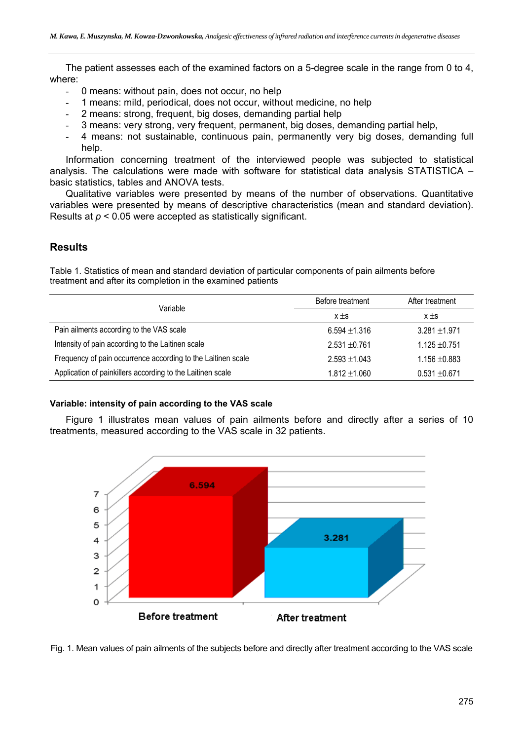The patient assesses each of the examined factors on a 5-degree scale in the range from 0 to 4, where:

- 0 means: without pain, does not occur, no help
- 1 means: mild, periodical, does not occur, without medicine, no help
- 2 means: strong, frequent, big doses, demanding partial help
- 3 means: very strong, very frequent, permanent, big doses, demanding partial help,
- 4 means: not sustainable, continuous pain, permanently very big doses, demanding full help.

Information concerning treatment of the interviewed people was subjected to statistical analysis. The calculations were made with software for statistical data analysis STATISTICA – basic statistics, tables and ANOVA tests.

Qualitative variables were presented by means of the number of observations. Quantitative variables were presented by means of descriptive characteristics (mean and standard deviation). Results at *p* < 0.05 were accepted as statistically significant.

## **Results**

Table 1. Statistics of mean and standard deviation of particular components of pain ailments before treatment and after its completion in the examined patients

| Variable                                                     | Before treatment  | After treatment   |  |
|--------------------------------------------------------------|-------------------|-------------------|--|
|                                                              | $x \pm s$         | $x \pm s$         |  |
| Pain ailments according to the VAS scale                     | $6.594 \pm 1.316$ | $3.281 \pm 1.971$ |  |
| Intensity of pain according to the Laitinen scale            | $2.531 + 0.761$   | $1.125 + 0.751$   |  |
| Frequency of pain occurrence according to the Laitinen scale | $2.593 \pm 1.043$ | $1.156 \pm 0.883$ |  |
| Application of painkillers according to the Laitinen scale   | $1.812 \pm 1.060$ | $0.531 + 0.671$   |  |

## **Variable: intensity of pain according to the VAS scale**

Figure 1 illustrates mean values of pain ailments before and directly after a series of 10 treatments, measured according to the VAS scale in 32 patients.



Fig. 1. Mean values of pain ailments of the subjects before and directly after treatment according to the VAS scale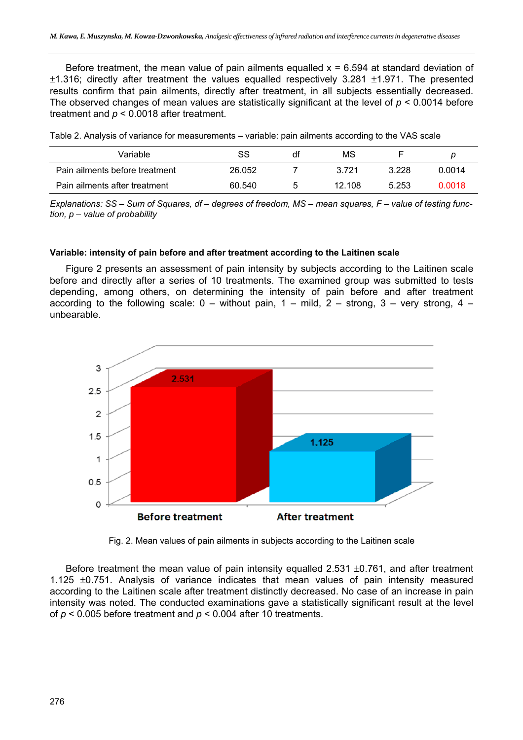Before treatment, the mean value of pain ailments equalled  $x = 6.594$  at standard deviation of  $\pm$ 1.316; directly after treatment the values equalled respectively 3.281  $\pm$ 1.971. The presented results confirm that pain ailments, directly after treatment, in all subjects essentially decreased. The observed changes of mean values are statistically significant at the level of *p* < 0.0014 before treatment and *p* < 0.0018 after treatment.

Table 2. Analysis of variance for measurements – variable: pain ailments according to the VAS scale

| Variable                       | SS     | df | ΜS     |       | D      |
|--------------------------------|--------|----|--------|-------|--------|
| Pain ailments before treatment | 26.052 |    | 3.721  | 3.228 | 0.0014 |
| Pain ailments after treatment  | 60.540 |    | 12.108 | 5.253 | 0.0018 |

*Explanations: SS – Sum of Squares, df – degrees of freedom, MS – mean squares, F – value of testing function, p – value of probability*

#### **Variable: intensity of pain before and after treatment according to the Laitinen scale**

Figure 2 presents an assessment of pain intensity by subjects according to the Laitinen scale before and directly after a series of 10 treatments. The examined group was submitted to tests depending, among others, on determining the intensity of pain before and after treatment according to the following scale:  $0 -$  without pain,  $1 -$  mild,  $2 -$  strong,  $3 -$  very strong,  $4$ unbearable.



Fig. 2. Mean values of pain ailments in subjects according to the Laitinen scale

Before treatment the mean value of pain intensity equalled 2.531  $\pm$ 0.761, and after treatment 1.125  $\pm$ 0.751. Analysis of variance indicates that mean values of pain intensity measured according to the Laitinen scale after treatment distinctly decreased. No case of an increase in pain intensity was noted. The conducted examinations gave a statistically significant result at the level of *p* < 0.005 before treatment and *p* < 0.004 after 10 treatments.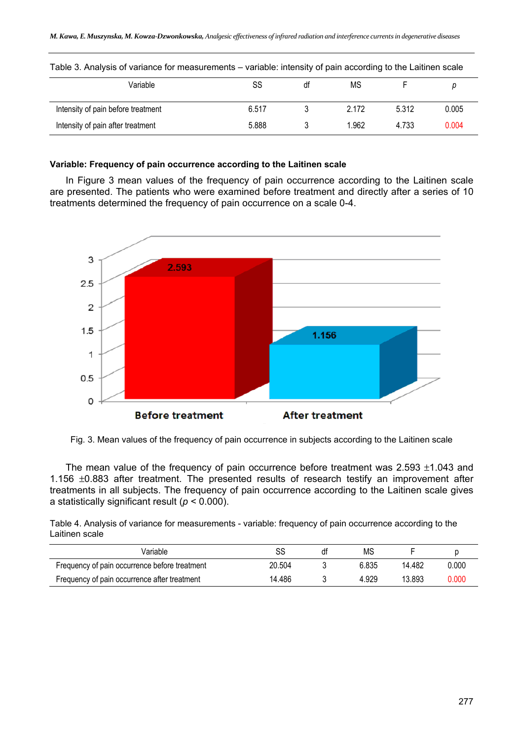| Variable                           | SS    | dt | MS    |       |       |
|------------------------------------|-------|----|-------|-------|-------|
| Intensity of pain before treatment | 6.517 |    | 2.172 | 5.312 | 0.005 |
| Intensity of pain after treatment  | 5.888 |    | !.962 | 4.733 | 0.004 |

Table 3. Analysis of variance for measurements – variable: intensity of pain according to the Laitinen scale

## **Variable: Frequency of pain occurrence according to the Laitinen scale**

In Figure 3 mean values of the frequency of pain occurrence according to the Laitinen scale are presented. The patients who were examined before treatment and directly after a series of 10 treatments determined the frequency of pain occurrence on a scale 0-4.



Fig. 3. Mean values of the frequency of pain occurrence in subjects according to the Laitinen scale

The mean value of the frequency of pain occurrence before treatment was  $2.593 \pm 1.043$  and 1.156  $\pm$ 0.883 after treatment. The presented results of research testify an improvement after treatments in all subjects. The frequency of pain occurrence according to the Laitinen scale gives a statistically significant result (*p* < 0.000).

Table 4. Analysis of variance for measurements - variable: frequency of pain occurrence according to the Laitinen scale

| Variable                                      | SS     | df | ΜS    |        |       |
|-----------------------------------------------|--------|----|-------|--------|-------|
| Frequency of pain occurrence before treatment | 20.504 |    | 6.835 | 14.482 | 0.000 |
| Frequency of pain occurrence after treatment  | 14.486 |    | 4.929 | 13.893 | 0.000 |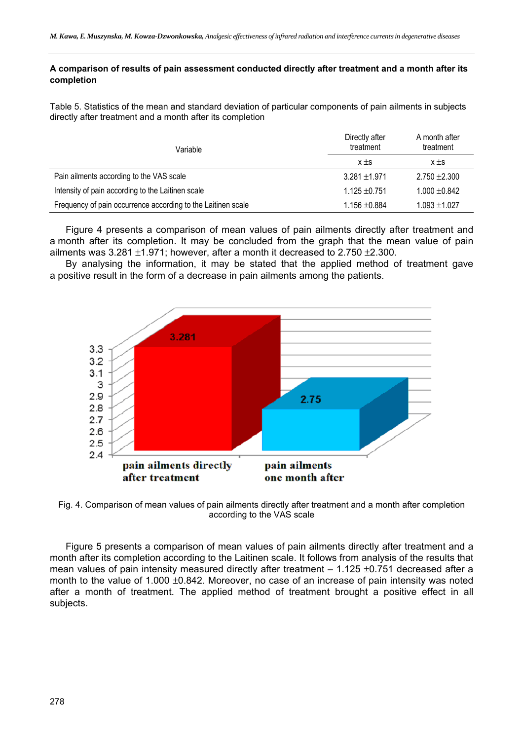#### **A comparison of results of pain assessment conducted directly after treatment and a month after its completion**

Table 5. Statistics of the mean and standard deviation of particular components of pain ailments in subjects directly after treatment and a month after its completion

| Variable                                                     | Directly after<br>treatment | A month after<br>treatment |  |
|--------------------------------------------------------------|-----------------------------|----------------------------|--|
|                                                              | $x \pm s$                   | $x \pm s$                  |  |
| Pain ailments according to the VAS scale                     | $3.281 \pm 1.971$           | $2.750 + 2.300$            |  |
| Intensity of pain according to the Laitinen scale            | $1.125 + 0.751$             | $1.000 + 0.842$            |  |
| Frequency of pain occurrence according to the Laitinen scale | $1.156 \pm 0.884$           | $1.093 \pm 1.027$          |  |

Figure 4 presents a comparison of mean values of pain ailments directly after treatment and a month after its completion. It may be concluded from the graph that the mean value of pain ailments was  $3.281 \pm 1.971$ ; however, after a month it decreased to  $2.750 \pm 2.300$ .

By analysing the information, it may be stated that the applied method of treatment gave a positive result in the form of a decrease in pain ailments among the patients.



Fig. 4. Comparison of mean values of pain ailments directly after treatment and a month after completion according to the VAS scale

Figure 5 presents a comparison of mean values of pain ailments directly after treatment and a month after its completion according to the Laitinen scale. It follows from analysis of the results that mean values of pain intensity measured directly after treatment  $-1.125 \pm 0.751$  decreased after a month to the value of  $1.000 \pm 0.842$ . Moreover, no case of an increase of pain intensity was noted after a month of treatment. The applied method of treatment brought a positive effect in all subjects.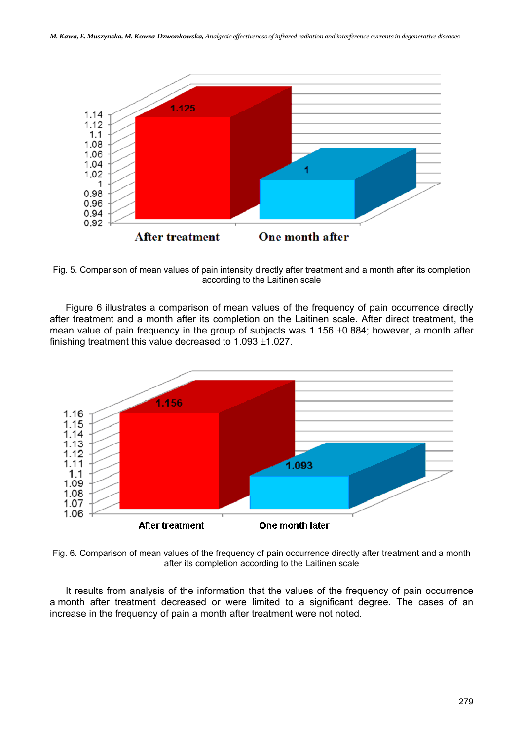

Fig. 5. Comparison of mean values of pain intensity directly after treatment and a month after its completion according to the Laitinen scale

Figure 6 illustrates a comparison of mean values of the frequency of pain occurrence directly after treatment and a month after its completion on the Laitinen scale. After direct treatment, the mean value of pain frequency in the group of subjects was  $1.156 \pm 0.884$ ; however, a month after finishing treatment this value decreased to  $1.093 \pm 1.027$ .



Fig. 6. Comparison of mean values of the frequency of pain occurrence directly after treatment and a month after its completion according to the Laitinen scale

It results from analysis of the information that the values of the frequency of pain occurrence a month after treatment decreased or were limited to a significant degree. The cases of an increase in the frequency of pain a month after treatment were not noted.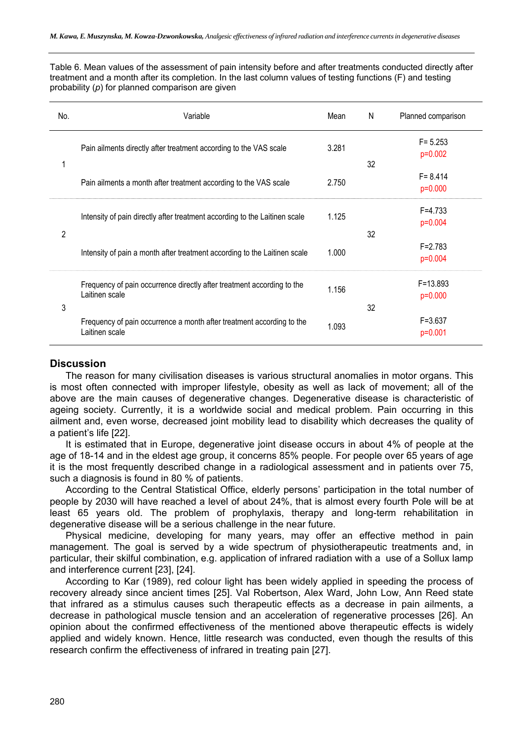Table 6. Mean values of the assessment of pain intensity before and after treatments conducted directly after treatment and a month after its completion. In the last column values of testing functions (F) and testing probability (*p*) for planned comparison are given

| No.            | Variable                                                                                 | Mean  | N  | Planned comparison      |
|----------------|------------------------------------------------------------------------------------------|-------|----|-------------------------|
|                | Pain ailments directly after treatment according to the VAS scale                        | 3.281 | 32 | $F = 5.253$<br>p=0.002  |
|                | Pain ailments a month after treatment according to the VAS scale                         | 2.750 |    | $F = 8.414$<br>p=0.000  |
| $\overline{2}$ | Intensity of pain directly after treatment according to the Laitinen scale               | 1.125 |    | $F = 4.733$<br>p=0.004  |
|                | Intensity of pain a month after treatment according to the Laitinen scale                | 1.000 | 32 | $F = 2.783$<br>p=0.004  |
| 3              | Frequency of pain occurrence directly after treatment according to the<br>Laitinen scale | 1.156 |    | $F = 13.893$<br>p=0.000 |
|                | Frequency of pain occurrence a month after treatment according to the<br>Laitinen scale  | 1.093 | 32 | $F = 3.637$<br>p=0.001  |

## **Discussion**

The reason for many civilisation diseases is various structural anomalies in motor organs. This is most often connected with improper lifestyle, obesity as well as lack of movement; all of the above are the main causes of degenerative changes. Degenerative disease is characteristic of ageing society. Currently, it is a worldwide social and medical problem. Pain occurring in this ailment and, even worse, decreased joint mobility lead to disability which decreases the quality of a patient's life [22].

It is estimated that in Europe, degenerative joint disease occurs in about 4% of people at the age of 18-14 and in the eldest age group, it concerns 85% people. For people over 65 years of age it is the most frequently described change in a radiological assessment and in patients over 75, such a diagnosis is found in 80 % of patients.

According to the Central Statistical Office, elderly persons' participation in the total number of people by 2030 will have reached a level of about 24%, that is almost every fourth Pole will be at least 65 years old. The problem of prophylaxis, therapy and long-term rehabilitation in degenerative disease will be a serious challenge in the near future.

Physical medicine, developing for many years, may offer an effective method in pain management. The goal is served by a wide spectrum of physiotherapeutic treatments and, in particular, their skilful combination, e.g. application of infrared radiation with a use of a Sollux lamp and interference current [23], [24].

According to Kar (1989), red colour light has been widely applied in speeding the process of recovery already since ancient times [25]. Val Robertson, Alex Ward, John Low, Ann Reed state that infrared as a stimulus causes such therapeutic effects as a decrease in pain ailments, a decrease in pathological muscle tension and an acceleration of regenerative processes [26]. An opinion about the confirmed effectiveness of the mentioned above therapeutic effects is widely applied and widely known. Hence, little research was conducted, even though the results of this research confirm the effectiveness of infrared in treating pain [27].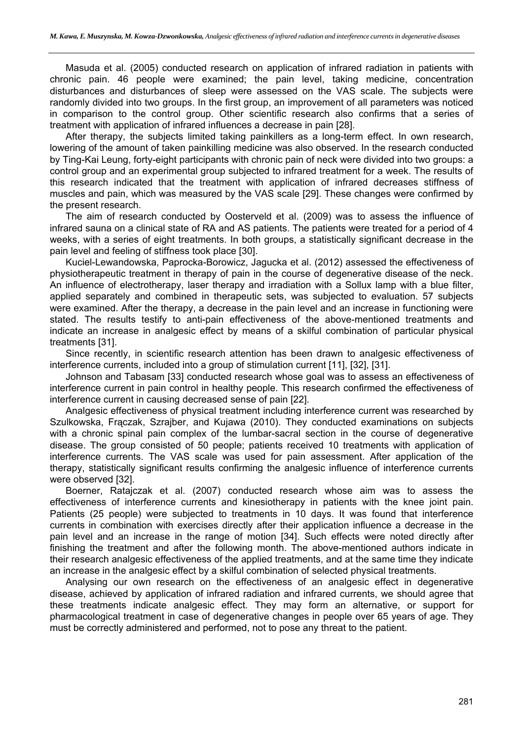Masuda et al. (2005) conducted research on application of infrared radiation in patients with chronic pain. 46 people were examined; the pain level, taking medicine, concentration disturbances and disturbances of sleep were assessed on the VAS scale. The subjects were randomly divided into two groups. In the first group, an improvement of all parameters was noticed in comparison to the control group. Other scientific research also confirms that a series of treatment with application of infrared influences a decrease in pain [28].

After therapy, the subjects limited taking painkillers as a long-term effect. In own research, lowering of the amount of taken painkilling medicine was also observed. In the research conducted by Ting-Kai Leung, forty-eight participants with chronic pain of neck were divided into two groups: a control group and an experimental group subjected to infrared treatment for a week. The results of this research indicated that the treatment with application of infrared decreases stiffness of muscles and pain, which was measured by the VAS scale [29]. These changes were confirmed by the present research.

The aim of research conducted by Oosterveld et al. (2009) was to assess the influence of infrared sauna on a clinical state of RA and AS patients. The patients were treated for a period of 4 weeks, with a series of eight treatments. In both groups, a statistically significant decrease in the pain level and feeling of stiffness took place [30].

Kuciel-Lewandowska, Paprocka-Borowicz, Jagucka et al. (2012) assessed the effectiveness of physiotherapeutic treatment in therapy of pain in the course of degenerative disease of the neck. An influence of electrotherapy, laser therapy and irradiation with a Sollux lamp with a blue filter, applied separately and combined in therapeutic sets, was subjected to evaluation. 57 subjects were examined. After the therapy, a decrease in the pain level and an increase in functioning were stated. The results testify to anti-pain effectiveness of the above-mentioned treatments and indicate an increase in analgesic effect by means of a skilful combination of particular physical treatments [31].

Since recently, in scientific research attention has been drawn to analgesic effectiveness of interference currents, included into a group of stimulation current [11], [32], [31].

Johnson and Tabasam [33] conducted research whose goal was to assess an effectiveness of interference current in pain control in healthy people. This research confirmed the effectiveness of interference current in causing decreased sense of pain [22].

Analgesic effectiveness of physical treatment including interference current was researched by Szulkowska, Frączak, Szrajber, and Kujawa (2010). They conducted examinations on subjects with a chronic spinal pain complex of the lumbar-sacral section in the course of degenerative disease. The group consisted of 50 people; patients received 10 treatments with application of interference currents. The VAS scale was used for pain assessment. After application of the therapy, statistically significant results confirming the analgesic influence of interference currents were observed [32].

Boerner, Ratajczak et al. (2007) conducted research whose aim was to assess the effectiveness of interference currents and kinesiotherapy in patients with the knee joint pain. Patients (25 people) were subjected to treatments in 10 days. It was found that interference currents in combination with exercises directly after their application influence a decrease in the pain level and an increase in the range of motion [34]. Such effects were noted directly after finishing the treatment and after the following month. The above-mentioned authors indicate in their research analgesic effectiveness of the applied treatments, and at the same time they indicate an increase in the analgesic effect by a skilful combination of selected physical treatments.

Analysing our own research on the effectiveness of an analgesic effect in degenerative disease, achieved by application of infrared radiation and infrared currents, we should agree that these treatments indicate analgesic effect. They may form an alternative, or support for pharmacological treatment in case of degenerative changes in people over 65 years of age. They must be correctly administered and performed, not to pose any threat to the patient.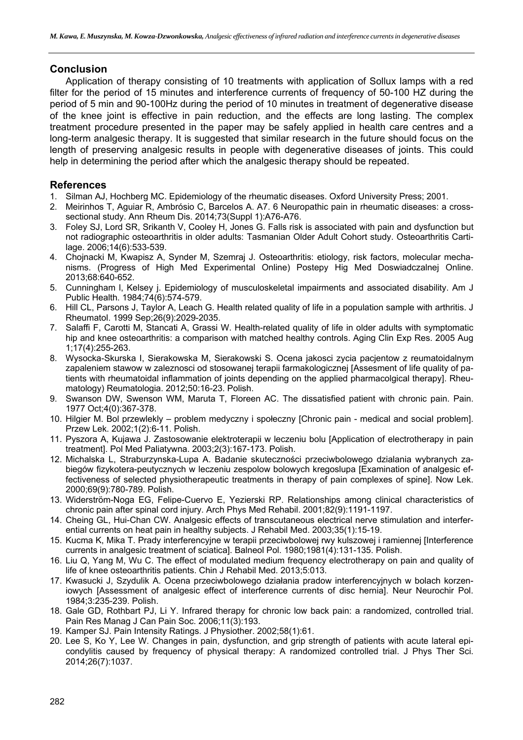## **Conclusion**

Application of therapy consisting of 10 treatments with application of Sollux lamps with a red filter for the period of 15 minutes and interference currents of frequency of 50-100 HZ during the period of 5 min and 90-100Hz during the period of 10 minutes in treatment of degenerative disease of the knee joint is effective in pain reduction, and the effects are long lasting. The complex treatment procedure presented in the paper may be safely applied in health care centres and a long-term analgesic therapy. It is suggested that similar research in the future should focus on the length of preserving analgesic results in people with degenerative diseases of joints. This could help in determining the period after which the analgesic therapy should be repeated.

## **References**

- 1. Silman AJ, Hochberg MC. Epidemiology of the rheumatic diseases. Oxford University Press; 2001.
- 2. Meirinhos T, Aguiar R, Ambrósio C, Barcelos A. A7. 6 Neuropathic pain in rheumatic diseases: a crosssectional study. Ann Rheum Dis. 2014;73(Suppl 1):A76-A76.
- 3. Foley SJ, Lord SR, Srikanth V, Cooley H, Jones G. Falls risk is associated with pain and dysfunction but not radiographic osteoarthritis in older adults: Tasmanian Older Adult Cohort study. Osteoarthritis Cartilage. 2006;14(6):533-539.
- 4. Chojnacki M, Kwapisz A, Synder M, Szemraj J. Osteoarthritis: etiology, risk factors, molecular mechanisms. (Progress of High Med Experimental Online) Postepy Hig Med Doswiadczalnej Online. 2013;68:640-652.
- 5. Cunningham l, Kelsey j. Epidemiology of musculoskeletal impairments and associated disability. Am J Public Health. 1984;74(6):574-579.
- 6. Hill CL, Parsons J, Taylor A, Leach G. Health related quality of life in a population sample with arthritis. J Rheumatol. 1999 Sep;26(9):2029-2035.
- 7. Salaffi F, Carotti M, Stancati A, Grassi W. Health-related quality of life in older adults with symptomatic hip and knee osteoarthritis: a comparison with matched healthy controls. Aging Clin Exp Res. 2005 Aug 1;17(4):255-263.
- 8. Wysocka-Skurska I, Sierakowska M, Sierakowski S. Ocena jakosci zycia pacjentow z reumatoidalnym zapaleniem stawow w zaleznosci od stosowanej terapii farmakologicznej [Assesment of life quality of patients with rheumatoidal inflammation of joints depending on the applied pharmacolgical therapy]. Rheumatology) Reumatologia. 2012;50:16-23. Polish.
- 9. Swanson DW, Swenson WM, Maruta T, Floreen AC. The dissatisfied patient with chronic pain. Pain. 1977 Oct;4(0):367-378.
- 10. Hilgier M. Bol przewlekly problem medyczny i społeczny [Chronic pain medical and social problem]. Przew Lek. 2002;1(2):6-11. Polish.
- 11. Pyszora A, Kujawa J. Zastosowanie elektroterapii w leczeniu bolu [Application of electrotherapy in pain treatment]. Pol Med Paliatywna. 2003;2(3):167-173. Polish.
- 12. Michalska L, Straburzynska-Lupa A. Badanie skuteczności przeciwbolowego dzialania wybranych zabiegów fizykotera-peutycznych w leczeniu zespolow bolowych kregoslupa [Examination of analgesic effectiveness of selected physiotherapeutic treatments in therapy of pain complexes of spine]. Now Lek. 2000;69(9):780-789. Polish.
- 13. Widerström-Noga EG, Felipe-Cuervo E, Yezierski RP. Relationships among clinical characteristics of chronic pain after spinal cord injury. Arch Phys Med Rehabil. 2001;82(9):1191-1197.
- 14. Cheing GL, Hui-Chan CW. Analgesic effects of transcutaneous electrical nerve stimulation and interferential currents on heat pain in healthy subjects. J Rehabil Med. 2003;35(1):15-19.
- 15. Kucma K, Mika T. Prady interferencyjne w terapii przeciwbolowej rwy kulszowej i ramiennej [Interference currents in analgesic treatment of sciatica]. Balneol Pol. 1980;1981(4):131-135. Polish.
- 16. Liu Q, Yang M, Wu C. The effect of modulated medium frequency electrotherapy on pain and quality of life of knee osteoarthritis patients. Chin J Rehabil Med. 2013;5:013.
- 17. Kwasucki J, Szydulik A. Ocena przeciwbolowego działania pradow interferencyjnych w bolach korzeniowych [Assessment of analgesic effect of interference currents of disc hernia]. Neur Neurochir Pol. 1984;3:235-239. Polish.
- 18. Gale GD, Rothbart PJ, Li Y. Infrared therapy for chronic low back pain: a randomized, controlled trial. Pain Res Manag J Can Pain Soc. 2006;11(3):193.
- 19. Kamper SJ. Pain Intensity Ratings. J Physiother. 2002;58(1):61.
- 20. Lee S, Ko Y, Lee W. Changes in pain, dysfunction, and grip strength of patients with acute lateral epicondylitis caused by frequency of physical therapy: A randomized controlled trial. J Phys Ther Sci. 2014;26(7):1037.